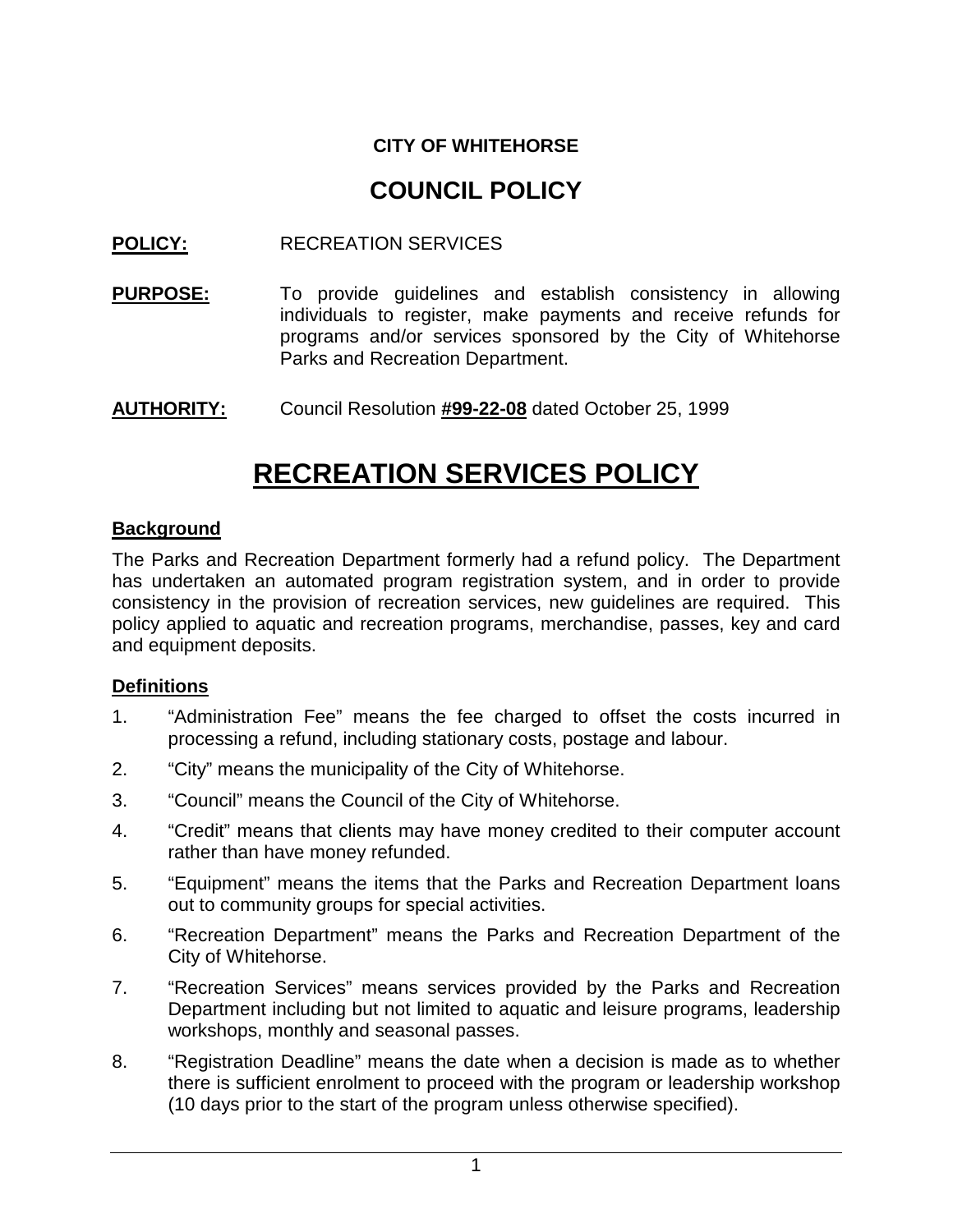## **CITY OF WHITEHORSE**

# **COUNCIL POLICY**

### **POLICY:** RECREATION SERVICES

- **PURPOSE:** To provide guidelines and establish consistency in allowing individuals to register, make payments and receive refunds for programs and/or services sponsored by the City of Whitehorse Parks and Recreation Department.
- **AUTHORITY:** Council Resolution **#99-22-08** dated October 25, 1999

# **RECREATION SERVICES POLICY**

#### **Background**

The Parks and Recreation Department formerly had a refund policy. The Department has undertaken an automated program registration system, and in order to provide consistency in the provision of recreation services, new guidelines are required. This policy applied to aquatic and recreation programs, merchandise, passes, key and card and equipment deposits.

#### **Definitions**

- 1. "Administration Fee" means the fee charged to offset the costs incurred in processing a refund, including stationary costs, postage and labour.
- 2. "City" means the municipality of the City of Whitehorse.
- 3. "Council" means the Council of the City of Whitehorse.
- 4. "Credit" means that clients may have money credited to their computer account rather than have money refunded.
- 5. "Equipment" means the items that the Parks and Recreation Department loans out to community groups for special activities.
- 6. "Recreation Department" means the Parks and Recreation Department of the City of Whitehorse.
- 7. "Recreation Services" means services provided by the Parks and Recreation Department including but not limited to aquatic and leisure programs, leadership workshops, monthly and seasonal passes.
- 8. "Registration Deadline" means the date when a decision is made as to whether there is sufficient enrolment to proceed with the program or leadership workshop (10 days prior to the start of the program unless otherwise specified).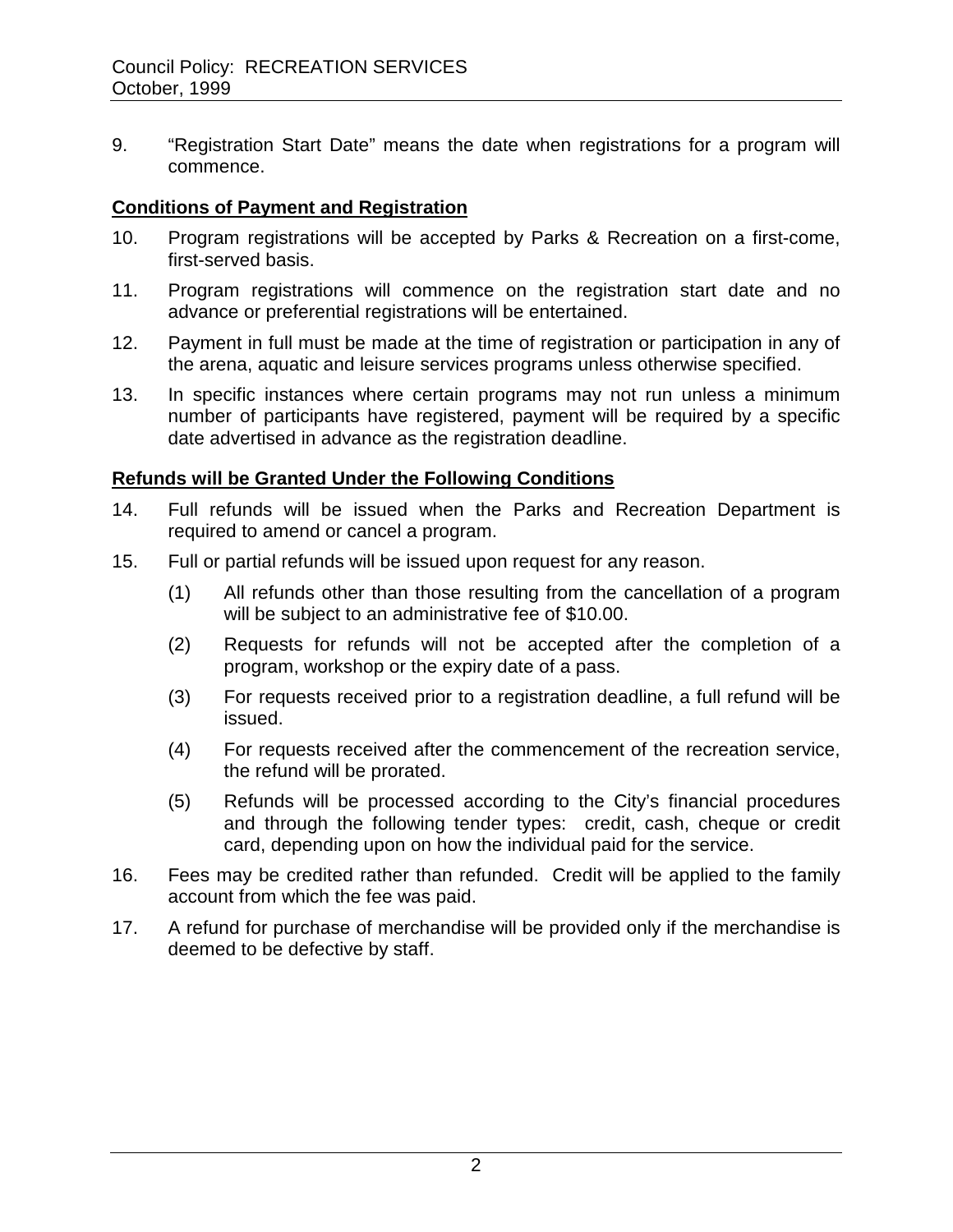9. "Registration Start Date" means the date when registrations for a program will commence.

#### **Conditions of Payment and Registration**

- 10. Program registrations will be accepted by Parks & Recreation on a first-come, first-served basis.
- 11. Program registrations will commence on the registration start date and no advance or preferential registrations will be entertained.
- 12. Payment in full must be made at the time of registration or participation in any of the arena, aquatic and leisure services programs unless otherwise specified.
- 13. In specific instances where certain programs may not run unless a minimum number of participants have registered, payment will be required by a specific date advertised in advance as the registration deadline.

#### **Refunds will be Granted Under the Following Conditions**

- 14. Full refunds will be issued when the Parks and Recreation Department is required to amend or cancel a program.
- 15. Full or partial refunds will be issued upon request for any reason.
	- (1) All refunds other than those resulting from the cancellation of a program will be subject to an administrative fee of \$10.00.
	- (2) Requests for refunds will not be accepted after the completion of a program, workshop or the expiry date of a pass.
	- (3) For requests received prior to a registration deadline, a full refund will be issued.
	- (4) For requests received after the commencement of the recreation service, the refund will be prorated.
	- (5) Refunds will be processed according to the City's financial procedures and through the following tender types: credit, cash, cheque or credit card, depending upon on how the individual paid for the service.
- 16. Fees may be credited rather than refunded. Credit will be applied to the family account from which the fee was paid.
- 17. A refund for purchase of merchandise will be provided only if the merchandise is deemed to be defective by staff.